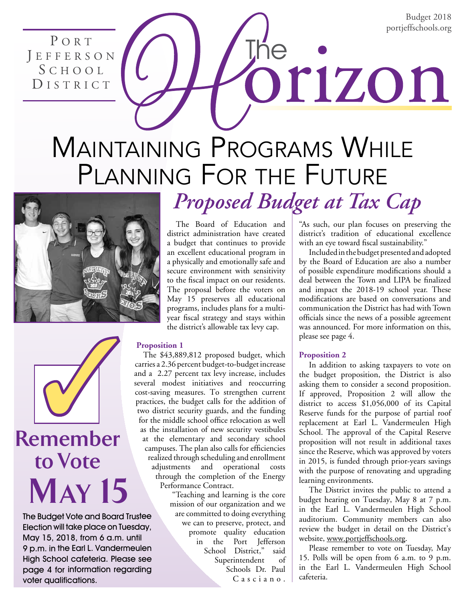Budget 2018 portjeffschools.org

PORT J e f f e r s o n S c h o o l DISTRICT

## Maintaining Programs While Planning For the Future *Proposed Budget at Tax Cap*



The Board of Education and district administration have created a budget that continues to provide an excellent educational program in a physically and emotionally safe and secure environment with sensitivity to the fiscal impact on our residents. The proposal before the voters on May 15 preserves all educational programs, includes plans for a multiyear fiscal strategy and stays within the district's allowable tax levy cap.

#### **Proposition 1**

The \$43,889,812 proposed budget, which carries a 2.36 percent budget-to-budget increase and a 2.27 percent tax levy increase, includes several modest initiatives and reoccurring cost-saving measures. To strengthen current practices, the budget calls for the addition of two district security guards, and the funding for the middle school office relocation as well as the installation of new security vestibules at the elementary and secondary school campuses. The plan also calls for efficiencies realized through scheduling and enrollment adjustments and operational costs through the completion of the Energy Performance Contract.

"Teaching and learning is the core mission of our organization and we are committed to doing everything we can to preserve, protect, and promote quality education in the Port Jefferson School District," said Superintendent of Schools Dr. Paul C a s c i a n o .

"As such, our plan focuses on preserving the district's tradition of educational excellence with an eye toward fiscal sustainability."

orizon

Included in the budget presented and adopted by the Board of Education are also a number of possible expenditure modifications should a deal between the Town and LIPA be finalized and impact the 2018-19 school year. These modifications are based on conversations and communication the District has had with Town officials since the news of a possible agreement was announced. For more information on this, please see page 4.

#### **Proposition 2**

In addition to asking taxpayers to vote on the budget proposition, the District is also asking them to consider a second proposition. If approved, Proposition 2 will allow the district to access \$1,056,000 of its Capital Reserve funds for the purpose of partial roof replacement at Earl L. Vandermeulen High School. The approval of the Capital Reserve proposition will not result in additional taxes since the Reserve, which was approved by voters in 2015, is funded through prior-years savings with the purpose of renovating and upgrading learning environments.

The District invites the public to attend a budget hearing on Tuesday, May 8 at 7 p.m. in the Earl L. Vandermeulen High School auditorium. Community members can also review the budget in detail on the District's website, www.portjeffschools.org.

Please remember to vote on Tuesday, May 15. Polls will be open from 6 a.m. to 9 p.m. in the Earl L. Vandermeulen High School cafeteria.



The Budget Vote and Board Trustee Election will take place on Tuesday, May 15, 2018, from 6 a.m. until 9 p.m. in the Earl L. Vandermeulen High School cafeteria. Please see page 4 for information regarding voter qualifications.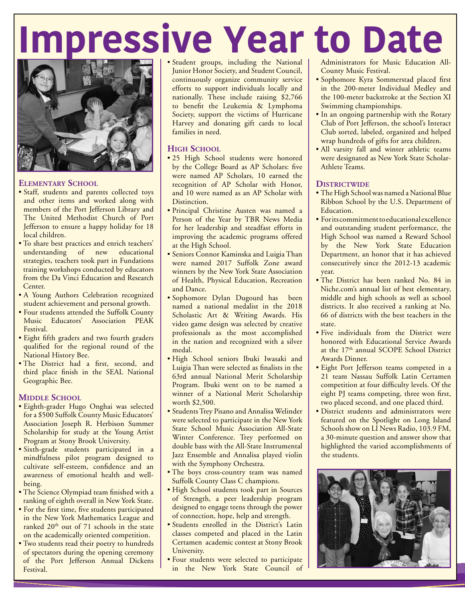# **Impressive Year to Date**



#### **Elementary School**

- Staff, students and parents collected toys and other items and worked along with members of the Port Jefferson Library and The United Methodist Church of Port Jefferson to ensure a happy holiday for 18 local children.
- To share best practices and enrich teachers' understanding of new educational strategies, teachers took part in Fundations training workshops conducted by educators from the Da Vinci Education and Research Center.
- A Young Authors Celebration recognized student achievement and personal growth.
- Four students attended the Suffolk County Music Educators' Association PEAK Festival.
- Eight fifth graders and two fourth graders qualified for the regional round of the National History Bee.
- The District had a first, second, and third place finish in the SEAL National Geographic Bee.

#### **MIDDLE SCHOOL**

- Eighth-grader Hugo Onghai was selected for a \$500 Suffolk County Music Educators' Association Joseph R. Herbison Summer Scholarship for study at the Young Artist Program at Stony Brook University.
- Sixth-grade students participated in a mindfulness pilot program designed to cultivate self-esteem, confidence and an awareness of emotional health and wellbeing.
- The Science Olympiad team finished with a ranking of eighth overall in New York State.
- For the first time, five students participated in the New York Mathematics League and ranked  $20<sup>th</sup>$  out of 71 schools in the state on the academically oriented competition.
- Two students read their poetry to hundreds of spectators during the opening ceremony of the Port Jefferson Annual Dickens Festival.

• Student groups, including the National Junior Honor Society, and Student Council, continuously organize community service efforts to support individuals locally and nationally. These include raising \$2,766 to benefit the Leukemia & Lymphoma Society, support the victims of Hurricane Harvey and donating gift cards to local families in need.

#### **HIGH SCHOOL**

- 25 High School students were honored by the College Board as AP Scholars: five were named AP Scholars, 10 earned the recognition of AP Scholar with Honor, and 10 were named as an AP Scholar with Distinction.
- Principal Christine Austen was named a Person of the Year by TBR News Media for her leadership and steadfast efforts in improving the academic programs offered at the High School.
- Seniors Connor Kaminska and Luigia Than were named 2017 Suffolk Zone award winners by the New York State Association of Health, Physical Education, Recreation and Dance.
- Sophomore Dylan Dugourd has been named a national medalist in the 2018 Scholastic Art & Writing Awards. His video game design was selected by creative professionals as the most accomplished in the nation and recognized with a silver medal.
- High School seniors Ibuki Iwasaki and Luigia Than were selected as finalists in the 63rd annual National Merit Scholarship Program. Ibuki went on to be named a winner of a National Merit Scholarship worth \$2,500.
- Students Trey Pisano and Annalisa Welinder were selected to participate in the New York State School Music Association All-State Winter Conference. Trey performed on double bass with the All-State Instrumental Jazz Ensemble and Annalisa played violin with the Symphony Orchestra.
- The boys cross-country team was named Suffolk County Class C champions.
- High School students took part in Sources of Strength, a peer leadership program designed to engage teens through the power of connection, hope, help and strength.
- Students enrolled in the District's Latin classes competed and placed in the Latin Certamen academic contest at Stony Brook University.
- Four students were selected to participate in the New York State Council of

Administrators for Music Education All-County Music Festival.

- Sophomore Kyra Sommerstad placed first in the 200-meter Individual Medley and the 100-meter backstroke at the Section XI Swimming championships.
- In an ongoing partnership with the Rotary Club of Port Jefferson, the school's Interact Club sorted, labeled, organized and helped wrap hundreds of gifts for area children.
- All varsity fall and winter athletic teams were designated as New York State Scholar-Athlete Teams.

#### **Districtwide**

- The High School was named a National Blue Ribbon School by the U.S. Department of Education.
- For its commitment to educational excellence and outstanding student performance, the High School was named a Reward School by the New York State Education Department, an honor that it has achieved consecutively since the 2012-13 academic year.
- The District has been ranked No. 84 in Niche.com's annual list of best elementary, middle and high schools as well as school districts. It also received a ranking at No. 66 of districts with the best teachers in the state.
- Five individuals from the District were honored with Educational Service Awards at the 17<sup>th</sup> annual SCOPE School District Awards Dinner.
- Eight Port Jefferson teams competed in a 21 team Nassau Suffolk Latin Certamen competition at four difficulty levels. Of the eight PJ teams competing, three won first, two placed second, and one placed third.
- District students and administrators were featured on the Spotlight on Long Island Schools show on LI News Radio, 103.9 FM, a 30-minute question and answer show that highlighted the varied accomplishments of the students.

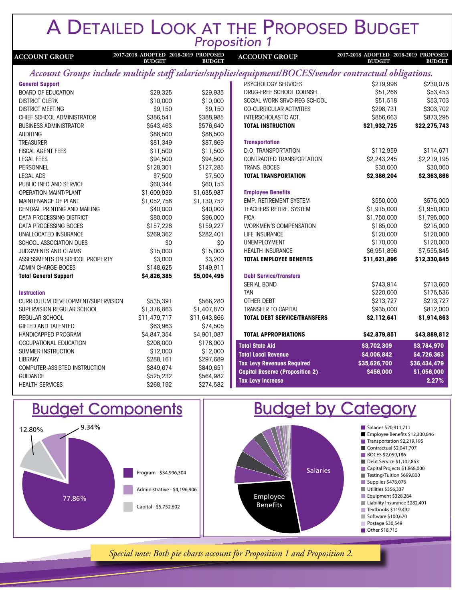### A DETAILED LOOK AT THE PROPOSED BUDGET *Proposition 1*

| <b>ACCOUNT GROUP</b>               | 2017-2018 ADOPTED 2018-2019 PROPOSED<br><b>BUDGET</b> | <b>BUDGET</b> | <b>ACCOUNT GROUP</b>                                                                                    | 2017-2018 ADOPTED 2018-2019 PROPOSED<br><b>BUDGET</b> | <b>BUDGET</b> |
|------------------------------------|-------------------------------------------------------|---------------|---------------------------------------------------------------------------------------------------------|-------------------------------------------------------|---------------|
|                                    |                                                       |               | Account Groups include multiple staff salaries/supplies/equipment/BOCES/vendor contractual obligations. |                                                       |               |
| <b>General Support</b>             |                                                       |               | PSYCHOLOGY SERVICES                                                                                     | \$219,998                                             | \$230,078     |
| <b>BOARD OF EDUCATION</b>          | \$29,325                                              | \$29,935      | DRUG-FREE SCHOOL COUNSEL                                                                                | \$51,268                                              | \$53,453      |
| <b>DISTRICT CLERK</b>              | \$10,000                                              | \$10,000      | SOCIAL WORK SRVC-REG SCHOOL                                                                             | \$51,518                                              | \$53,703      |
| <b>DISTRICT MEETING</b>            | \$9,150                                               | \$9,150       | <b>CO-CURRICULAR ACTIVITIES</b>                                                                         | \$298,731                                             | \$303,702     |
| CHIEF SCHOOL ADMINISTRATOR         | \$386,541                                             | \$388,985     | INTERSCHOLASTIC ACT.                                                                                    | \$856,663                                             | \$873,295     |
| <b>BUSINESS ADMINISTRATOR</b>      | \$543,463                                             | \$576,640     | <b>TOTAL INSTRUCTION</b>                                                                                | \$21,932,725                                          | \$22,275,743  |
| <b>AUDITING</b>                    | \$88,500                                              | \$88,500      |                                                                                                         |                                                       |               |
| <b>TREASURER</b>                   | \$81,349                                              | \$87,869      | <b>Transportation</b>                                                                                   |                                                       |               |
| <b>FISCAL AGENT FEES</b>           | \$11,500                                              | \$11,500      | D.O. TRANSPORTATION                                                                                     | \$112,959                                             | \$114,671     |
| <b>LEGAL FEES</b>                  | \$94,500                                              | \$94,500      | CONTRACTED TRANSPORTATION                                                                               | \$2,243,245                                           | \$2,219,195   |
| PERSONNEL                          | \$128,301                                             | \$127,285     | TRANS. BOCES                                                                                            | \$30,000                                              | \$30,000      |
| <b>LEGAL ADS</b>                   | \$7,500                                               | \$7,500       | <b>TOTAL TRANSPORTATION</b>                                                                             | \$2,386,204                                           | \$2,363,866   |
| PUBLIC INFO AND SERVICE            | \$60,344                                              | \$60,153      |                                                                                                         |                                                       |               |
| <b>OPERATION MAINT/PLANT</b>       | \$1,609,939                                           | \$1,635,987   | <b>Employee Benefits</b>                                                                                |                                                       |               |
| MAINTENANCE OF PLANT               | \$1,052,758                                           | \$1,130,752   | EMP. RETIREMENT SYSTEM                                                                                  | \$550,000                                             | \$575,000     |
| CENTRAL PRINTING AND MAILING       | \$40,000                                              | \$40,000      | TEACHERS RETIRE. SYSTEM                                                                                 | \$1,915,000                                           | \$1,950,000   |
| DATA PROCESSING DISTRICT           | \$80,000                                              | \$96,000      | <b>FICA</b>                                                                                             | \$1,750,000                                           | \$1,795,000   |
| DATA PROCESSING BOCES              | \$157,228                                             | \$159,227     | <b>WORKMEN'S COMPENSATION</b>                                                                           | \$165,000                                             | \$215,000     |
| UNALLOCATED INSURANCE              | \$269,362                                             | \$282,401     | LIFE INSURANCE                                                                                          | \$120,000                                             | \$120,000     |
| SCHOOL ASSOCIATION DUES            | \$0                                                   | \$0           | <b>UNEMPLOYMENT</b>                                                                                     | \$170,000                                             | \$120,000     |
| JUDGMENTS AND CLAIMS               | \$15,000                                              | \$15,000      | HEALTH INSURANCE                                                                                        | \$6,951,896                                           | \$7,555,845   |
| ASSESSMENTS ON SCHOOL PROPERTY     | \$3,000                                               | \$3,200       | <b>TOTAL EMPLOYEE BENEFITS</b>                                                                          | \$11,621,896                                          | \$12,330,845  |
| <b>ADMIN CHARGE-BOCES</b>          | \$148,625                                             | \$149,911     |                                                                                                         |                                                       |               |
| <b>Total General Support</b>       | \$4,826,385                                           | \$5,004,495   | <b>Debt Service/Transfers</b>                                                                           |                                                       |               |
|                                    |                                                       |               | <b>SERIAL BOND</b>                                                                                      | \$743,914                                             | \$713,600     |
| <b>Instruction</b>                 |                                                       |               | <b>TAN</b>                                                                                              | \$220,000                                             | \$175,536     |
| CURRICULUM DEVELOPMENT/SUPERVISION | \$535,391                                             | \$566,280     | OTHER DEBT                                                                                              | \$213,727                                             | \$213,727     |
| SUPERVISION REGULAR SCHOOL         | \$1,376,863                                           | \$1,407,870   | <b>TRANSFER TO CAPITAL</b>                                                                              | \$935,000                                             | \$812,000     |
| <b>REGULAR SCHOOL</b>              | \$11,479,717                                          | \$11,643,866  | <b>TOTAL DEBT SERVICE/TRANSFERS</b>                                                                     | \$2,112,641                                           | \$1,914,863   |
| GIFTED AND TALENTED                | \$63,963                                              | \$74,505      |                                                                                                         |                                                       |               |
| <b>HANDICAPPED PROGRAM</b>         | \$4,847,354                                           | \$4,901,087   | <b>TOTAL APPROPRIATIONS</b>                                                                             | \$42,879,851                                          | \$43,889,812  |
| OCCUPATIONAL EDUCATION             | \$208,000                                             | \$178,000     | <b>Total State Aid</b>                                                                                  | \$3,702,309                                           | \$3,784,970   |
| SUMMER INSTRUCTION                 | \$12,000                                              | \$12,000      | <b>Total Local Revenue</b>                                                                              | \$4,006,842                                           | \$4,726,363   |
| <b>LIBRARY</b>                     | \$288,161                                             | \$297,689     | <b>Tax Levy Revenues Required</b>                                                                       | \$35,626,700                                          | \$36,434,479  |
| COMPUTER-ASSISTED INSTRUCTION      | \$849,674                                             | \$840,651     | <b>Capital Reserve (Proposition 2)</b>                                                                  | \$456,000                                             | \$1,056,000   |
| <b>GUIDANCE</b>                    | \$525,232                                             | \$564,982     | <b>Tax Levy Increase</b>                                                                                |                                                       | 2.27%         |
| <b>HEALTH SERVICES</b>             | \$268,192                                             | \$274,582     |                                                                                                         |                                                       |               |







- Supplies \$476,076 Supplies \$476,076  $\blacksquare$  Supplies \$16,337
- Equipment \$328,264
- Liability Insurance \$282,401
- Textbooks \$119,492
- Software \$100,670
- Postage \$30,549
- **Other \$18,715**

*Special note: Both pie charts account for Proposition 1 and Proposition 2.*